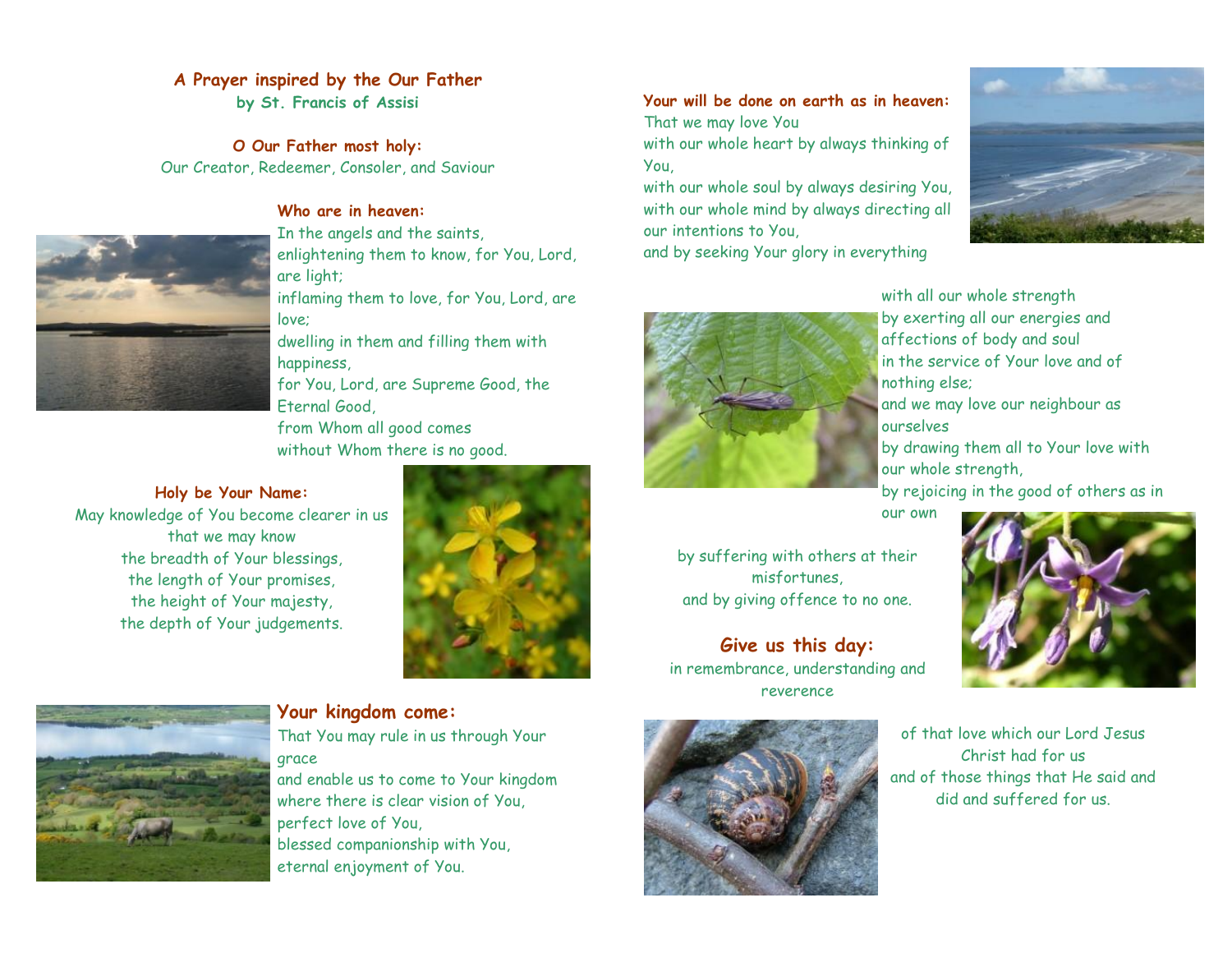### **A Prayer inspired by the Our Father**

**by St. Francis of Assisi**

**O Our Father most holy:** Our Creator, Redeemer, Consoler, and Saviour



### **Who are in heaven:**

In the angels and the saints, enlightening them to know, for You, Lord, are light; inflaming them to love, for You, Lord, are love;

dwelling in them and filling them with happiness,

for You, Lord, are Supreme Good, the Eternal Good,

from Whom all good comes without Whom there is no good.

**Holy be Your Name:**

May knowledge of You become clearer in us that we may know the breadth of Your blessings, the length of Your promises, the height of Your majesty, the depth of Your judgements.



**Your will be done on earth as in heaven:** That we may love You with our whole heart by always thinking of

You, with our whole soul by always desiring You, with our whole mind by always directing all our intentions to You,

and by seeking Your glory in everything





with all our whole strength by exerting all our energies and affections of body and soul in the service of Your love and of nothing else;

and we may love our neighbour as ourselves

by drawing them all to Your love with our whole strength,

by rejoicing in the good of others as in

our own

by suffering with others at their misfortunes, and by giving offence to no one.

**Give us this day:** in remembrance, understanding and reverence









# **Your kingdom come:**

That You may rule in us through Your grace

and enable us to come to Your kingdom where there is clear vision of You, perfect love of You, blessed companionship with You, eternal enjoyment of You.